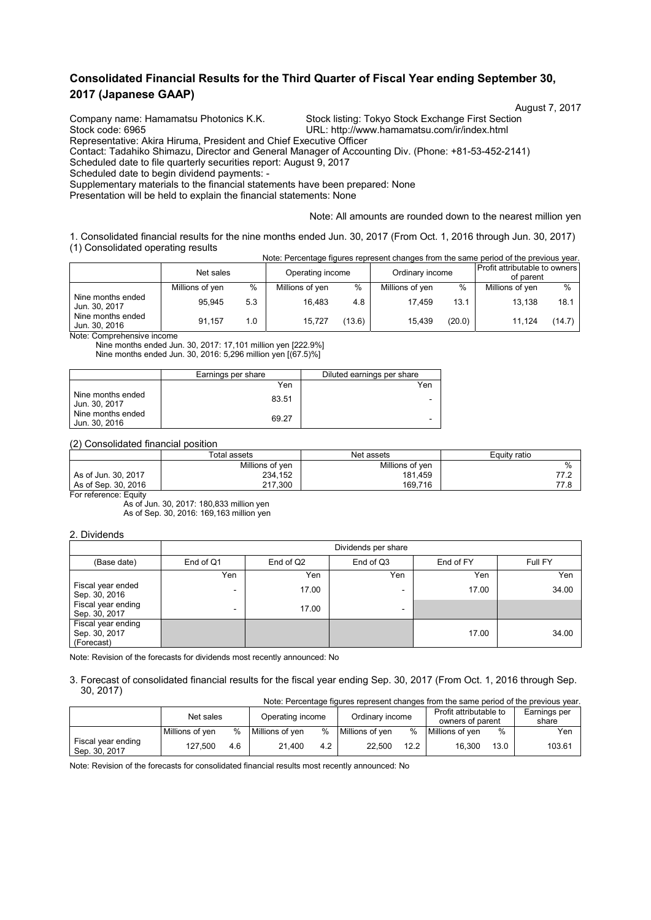# **Consolidated Financial Results for the Third Quarter of Fiscal Year ending September 30, 2017 (Japanese GAAP)**

Company name: Hamamatsu Photonics K.K. Stock listing: Tokyo Stock Exchange First Section<br>Stock code: 6965 Stock Code: 6965

URL: http://www.hamamatsu.com/ir/index.html Representative: Akira Hiruma, President and Chief Executive Officer

Contact: Tadahiko Shimazu, Director and General Manager of Accounting Div. (Phone: +81-53-452-2141)

Scheduled date to file quarterly securities report: August 9, 2017

Scheduled date to begin dividend payments: -

Supplementary materials to the financial statements have been prepared: None

Presentation will be held to explain the financial statements: None

Note: All amounts are rounded down to the nearest million yen

1. Consolidated financial results for the nine months ended Jun. 30, 2017 (From Oct. 1, 2016 through Jun. 30, 2017) (1) Consolidated operating results Note: Percentage figures represent changes from the same period of the previous year.

|                                    | TVOIG. FUICULIQUE TIQUI US TUDI USUI L'ITATIQUES TIOITI LITURGATI D'UNIC DI LITURITOUS VUIT. |     |                  |        |                 |        |                                            |        |
|------------------------------------|----------------------------------------------------------------------------------------------|-----|------------------|--------|-----------------|--------|--------------------------------------------|--------|
|                                    | Net sales                                                                                    |     | Operating income |        | Ordinary income |        | Profit attributable to owners<br>of parent |        |
|                                    | Millions of yen                                                                              | %   | Millions of yen  | %      | Millions of yen | $\%$   | Millions of yen                            | $\%$   |
| Nine months ended<br>Jun. 30, 2017 | 95.945                                                                                       | 5.3 | 16.483           | 4.8    | 17.459          | 13.1   | 13.138                                     | 18.1   |
| Nine months ended<br>Jun. 30, 2016 | 91.157                                                                                       | 1.0 | 15.727           | (13.6) | 15,439          | (20.0) | 11.124                                     | (14.7) |

Note: Comprehensive income

Nine months ended Jun. 30, 2017: 17,101 million yen [222.9%] Nine months ended Jun. 30, 2016: 5,296 million yen [(67.5)%]

|                                    | Earnings per share | Diluted earnings per share |
|------------------------------------|--------------------|----------------------------|
|                                    | Yen                | Yen                        |
| Nine months ended<br>Jun. 30, 2017 | 83.51              | -                          |
| Nine months ended<br>Jun. 30, 2016 | 69.27              | -                          |

(2) Consolidated financial position

|                       | Total assets    | Net assets      | Equity ratio |  |  |
|-----------------------|-----------------|-----------------|--------------|--|--|
|                       | Millions of yen | Millions of yen | %            |  |  |
| As of Jun. 30, 2017   | 234,152         | 181.459         | 77.2         |  |  |
| As of Sep. 30, 2016   | 217.300         | 169.716         | 77.8         |  |  |
| For reference: Equity |                 |                 |              |  |  |

As of Jun. 30, 2017: 180,833 million yen As of Sep. 30, 2016: 169,163 million yen

#### 2. Dividends

|                                                   | Dividends per share |                       |                          |           |         |  |  |  |
|---------------------------------------------------|---------------------|-----------------------|--------------------------|-----------|---------|--|--|--|
| (Base date)                                       | End of Q1           | End of Q <sub>2</sub> | End of Q3                | End of FY | Full FY |  |  |  |
|                                                   | Yen                 | Yen                   | Yen                      | Yen       | Yen     |  |  |  |
| Fiscal year ended<br>Sep. 30, 2016                | ۰                   | 17.00                 | -                        | 17.00     | 34.00   |  |  |  |
| Fiscal year ending<br>Sep. 30, 2017               | ۰                   | 17.00                 | $\overline{\phantom{0}}$ |           |         |  |  |  |
| Fiscal year ending<br>Sep. 30, 2017<br>(Forecast) |                     |                       |                          | 17.00     | 34.00   |  |  |  |

Note: Revision of the forecasts for dividends most recently announced: No

3. Forecast of consolidated financial results for the fiscal year ending Sep. 30, 2017 (From Oct. 1, 2016 through Sep. 30, 2017) Note: Percentage figures represent changes from the same period of the previous year.

|                                     | TVOIG. PEICENTAGE INQUIES TEDIESENT CHANGES HOM THE SAME DENOTO OF THE DIEVIOUS VEAL. |     |                  |      |                 |      |                        |      |              |  |
|-------------------------------------|---------------------------------------------------------------------------------------|-----|------------------|------|-----------------|------|------------------------|------|--------------|--|
|                                     | Net sales                                                                             |     | Operating income |      | Ordinary income |      | Profit attributable to |      | Earnings per |  |
|                                     |                                                                                       |     |                  |      |                 |      | owners of parent       |      | share        |  |
|                                     | Millions of ven                                                                       | %   | Millions of ven  | $\%$ | Millions of ven | %    | Millions of ven        | $\%$ | Yen          |  |
| Fiscal year ending<br>Sep. 30, 2017 | 127.500                                                                               | 4.6 | 21.400           | 4.2  | 22.500          | 12.2 | 16.300                 | 13.0 | 103.61       |  |

Note: Revision of the forecasts for consolidated financial results most recently announced: No

August 7, 2017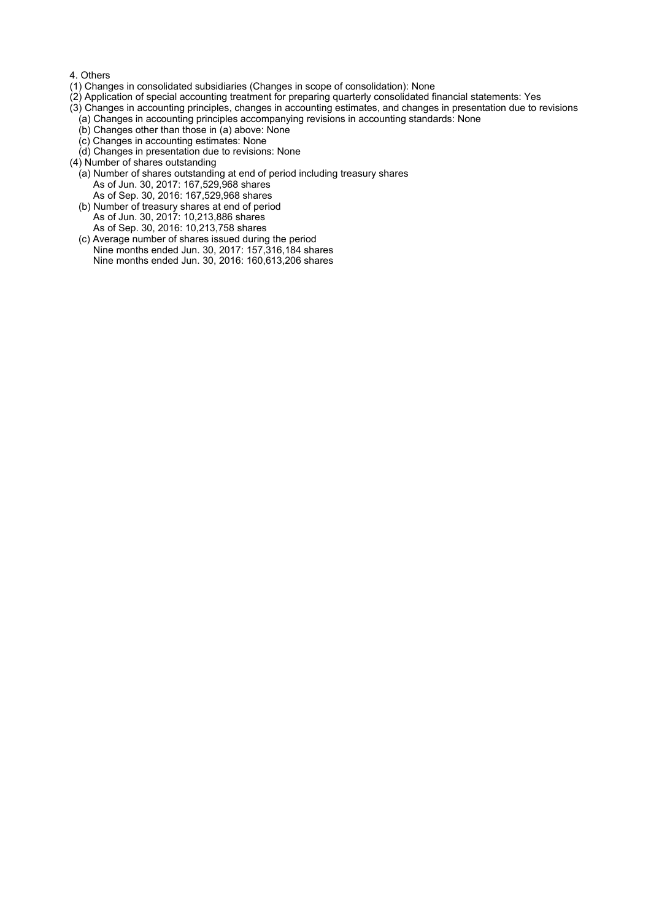#### 4. Others

- (1) Changes in consolidated subsidiaries (Changes in scope of consolidation): None
- (2) Application of special accounting treatment for preparing quarterly consolidated financial statements: Yes
- (3) Changes in accounting principles, changes in accounting estimates, and changes in presentation due to revisions
	- (a) Changes in accounting principles accompanying revisions in accounting standards: None
	- (b) Changes other than those in (a) above: None
	- (c) Changes in accounting estimates: None
	- (d) Changes in presentation due to revisions: None
- (4) Number of shares outstanding
	- (a) Number of shares outstanding at end of period including treasury shares As of Jun. 30, 2017: 167,529,968 shares As of Sep. 30, 2016: 167,529,968 shares
	- (b) Number of treasury shares at end of period As of Jun. 30, 2017: 10,213,886 shares As of Sep. 30, 2016: 10,213,758 shares
	- (c) Average number of shares issued during the period Nine months ended Jun. 30, 2017: 157,316,184 shares Nine months ended Jun. 30, 2016: 160,613,206 shares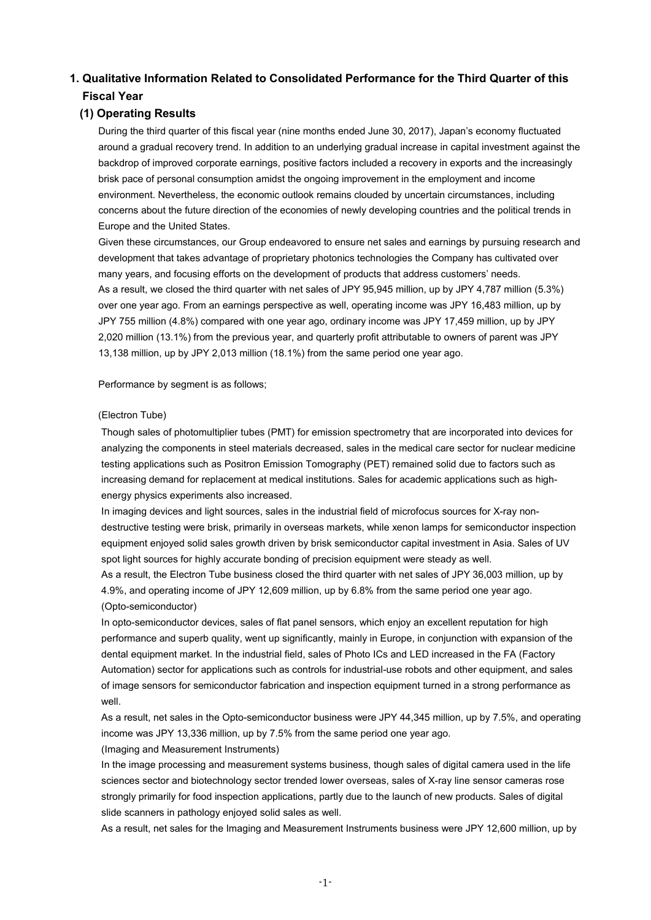# **1. Qualitative Information Related to Consolidated Performance for the Third Quarter of this Fiscal Year**

# **(1) Operating Results**

During the third quarter of this fiscal year (nine months ended June 30, 2017), Japan's economy fluctuated around a gradual recovery trend. In addition to an underlying gradual increase in capital investment against the backdrop of improved corporate earnings, positive factors included a recovery in exports and the increasingly brisk pace of personal consumption amidst the ongoing improvement in the employment and income environment. Nevertheless, the economic outlook remains clouded by uncertain circumstances, including concerns about the future direction of the economies of newly developing countries and the political trends in Europe and the United States.

Given these circumstances, our Group endeavored to ensure net sales and earnings by pursuing research and development that takes advantage of proprietary photonics technologies the Company has cultivated over many years, and focusing efforts on the development of products that address customers' needs. As a result, we closed the third quarter with net sales of JPY 95,945 million, up by JPY 4,787 million (5.3%) over one year ago. From an earnings perspective as well, operating income was JPY 16,483 million, up by JPY 755 million (4.8%) compared with one year ago, ordinary income was JPY 17,459 million, up by JPY 2,020 million (13.1%) from the previous year, and quarterly profit attributable to owners of parent was JPY 13,138 million, up by JPY 2,013 million (18.1%) from the same period one year ago.

Performance by segment is as follows;

#### (Electron Tube)

Though sales of photomultiplier tubes (PMT) for emission spectrometry that are incorporated into devices for analyzing the components in steel materials decreased, sales in the medical care sector for nuclear medicine testing applications such as Positron Emission Tomography (PET) remained solid due to factors such as increasing demand for replacement at medical institutions. Sales for academic applications such as highenergy physics experiments also increased.

In imaging devices and light sources, sales in the industrial field of microfocus sources for X-ray nondestructive testing were brisk, primarily in overseas markets, while xenon lamps for semiconductor inspection equipment enjoyed solid sales growth driven by brisk semiconductor capital investment in Asia. Sales of UV spot light sources for highly accurate bonding of precision equipment were steady as well.

As a result, the Electron Tube business closed the third quarter with net sales of JPY 36,003 million, up by 4.9%, and operating income of JPY 12,609 million, up by 6.8% from the same period one year ago. (Opto-semiconductor)

In opto-semiconductor devices, sales of flat panel sensors, which enjoy an excellent reputation for high performance and superb quality, went up significantly, mainly in Europe, in conjunction with expansion of the dental equipment market. In the industrial field, sales of Photo ICs and LED increased in the FA (Factory Automation) sector for applications such as controls for industrial-use robots and other equipment, and sales of image sensors for semiconductor fabrication and inspection equipment turned in a strong performance as well.

As a result, net sales in the Opto-semiconductor business were JPY 44,345 million, up by 7.5%, and operating income was JPY 13,336 million, up by 7.5% from the same period one year ago.

### (Imaging and Measurement Instruments)

In the image processing and measurement systems business, though sales of digital camera used in the life sciences sector and biotechnology sector trended lower overseas, sales of X-ray line sensor cameras rose strongly primarily for food inspection applications, partly due to the launch of new products. Sales of digital slide scanners in pathology enjoyed solid sales as well.

As a result, net sales for the Imaging and Measurement Instruments business were JPY 12,600 million, up by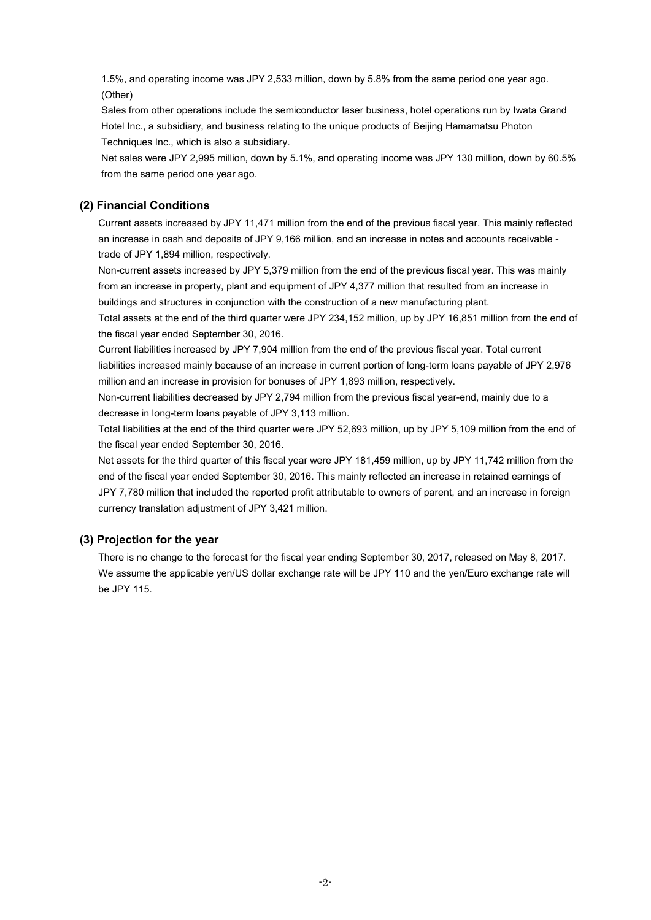1.5%, and operating income was JPY 2,533 million, down by 5.8% from the same period one year ago. (Other)

Sales from other operations include the semiconductor laser business, hotel operations run by Iwata Grand Hotel Inc., a subsidiary, and business relating to the unique products of Beijing Hamamatsu Photon Techniques Inc., which is also a subsidiary.

Net sales were JPY 2,995 million, down by 5.1%, and operating income was JPY 130 million, down by 60.5% from the same period one year ago.

## **(2) Financial Conditions**

Current assets increased by JPY 11,471 million from the end of the previous fiscal year. This mainly reflected an increase in cash and deposits of JPY 9,166 million, and an increase in notes and accounts receivable trade of JPY 1,894 million, respectively.

Non-current assets increased by JPY 5,379 million from the end of the previous fiscal year. This was mainly from an increase in property, plant and equipment of JPY 4,377 million that resulted from an increase in buildings and structures in conjunction with the construction of a new manufacturing plant.

Total assets at the end of the third quarter were JPY 234,152 million, up by JPY 16,851 million from the end of the fiscal year ended September 30, 2016.

Current liabilities increased by JPY 7,904 million from the end of the previous fiscal year. Total current liabilities increased mainly because of an increase in current portion of long-term loans payable of JPY 2,976 million and an increase in provision for bonuses of JPY 1,893 million, respectively.

Non-current liabilities decreased by JPY 2,794 million from the previous fiscal year-end, mainly due to a decrease in long-term loans payable of JPY 3,113 million.

Total liabilities at the end of the third quarter were JPY 52,693 million, up by JPY 5,109 million from the end of the fiscal year ended September 30, 2016.

Net assets for the third quarter of this fiscal year were JPY 181,459 million, up by JPY 11,742 million from the end of the fiscal year ended September 30, 2016. This mainly reflected an increase in retained earnings of JPY 7,780 million that included the reported profit attributable to owners of parent, and an increase in foreign currency translation adjustment of JPY 3,421 million.

### **(3) Projection for the year**

There is no change to the forecast for the fiscal year ending September 30, 2017, released on May 8, 2017. We assume the applicable yen/US dollar exchange rate will be JPY 110 and the yen/Euro exchange rate will be JPY 115.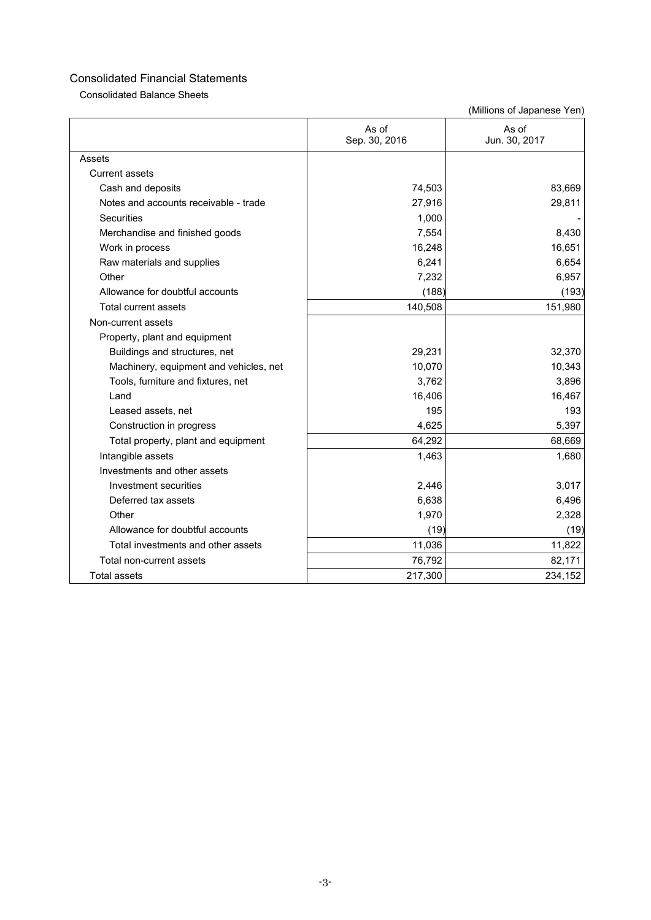Consolidated Balance Sheets

|                                        | As of<br>Sep. 30, 2016 | As of<br>Jun. 30, 2017 |
|----------------------------------------|------------------------|------------------------|
| Assets                                 |                        |                        |
| Current assets                         |                        |                        |
| Cash and deposits                      | 74,503                 | 83,669                 |
| Notes and accounts receivable - trade  | 27,916                 | 29,811                 |
| Securities                             | 1,000                  |                        |
| Merchandise and finished goods         | 7,554                  | 8,430                  |
| Work in process                        | 16,248                 | 16,651                 |
| Raw materials and supplies             | 6,241                  | 6,654                  |
| Other                                  | 7,232                  | 6,957                  |
| Allowance for doubtful accounts        | (188)                  | (193)                  |
| <b>Total current assets</b>            | 140,508                | 151,980                |
| Non-current assets                     |                        |                        |
| Property, plant and equipment          |                        |                        |
| Buildings and structures, net          | 29,231                 | 32,370                 |
| Machinery, equipment and vehicles, net | 10,070                 | 10,343                 |
| Tools, furniture and fixtures, net     | 3,762                  | 3,896                  |
| Land                                   | 16,406                 | 16,467                 |
| Leased assets, net                     | 195                    | 193                    |
| Construction in progress               | 4,625                  | 5,397                  |
| Total property, plant and equipment    | 64,292                 | 68,669                 |
| Intangible assets                      | 1,463                  | 1,680                  |
| Investments and other assets           |                        |                        |
| Investment securities                  | 2,446                  | 3,017                  |
| Deferred tax assets                    | 6,638                  | 6,496                  |
| Other                                  | 1,970                  | 2,328                  |
| Allowance for doubtful accounts        | (19)                   | (19)                   |
| Total investments and other assets     | 11,036                 | 11,822                 |
| Total non-current assets               | 76,792                 | 82,171                 |
| <b>Total assets</b>                    | 217,300                | 234,152                |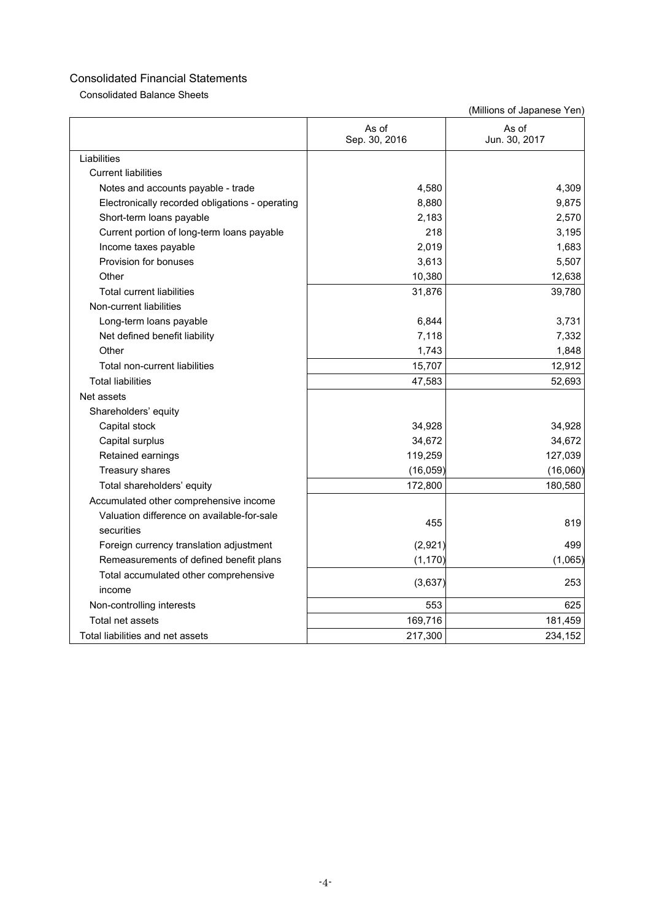Consolidated Balance Sheets

|                                                          | As of<br>Sep. 30, 2016 | As of<br>Jun. 30, 2017 |
|----------------------------------------------------------|------------------------|------------------------|
| Liabilities                                              |                        |                        |
| <b>Current liabilities</b>                               |                        |                        |
| Notes and accounts payable - trade                       | 4,580                  | 4,309                  |
| Electronically recorded obligations - operating          | 8,880                  | 9,875                  |
| Short-term loans payable                                 | 2,183                  | 2,570                  |
| Current portion of long-term loans payable               | 218                    | 3,195                  |
| Income taxes payable                                     | 2,019                  | 1,683                  |
| Provision for bonuses                                    | 3,613                  | 5,507                  |
| Other                                                    | 10,380                 | 12,638                 |
| <b>Total current liabilities</b>                         | 31,876                 | 39,780                 |
| Non-current liabilities                                  |                        |                        |
| Long-term loans payable                                  | 6,844                  | 3,731                  |
| Net defined benefit liability                            | 7,118                  | 7,332                  |
| Other                                                    | 1,743                  | 1,848                  |
| Total non-current liabilities                            | 15,707                 | 12,912                 |
| <b>Total liabilities</b>                                 | 47,583                 | 52,693                 |
| Net assets                                               |                        |                        |
| Shareholders' equity                                     |                        |                        |
| Capital stock                                            | 34,928                 | 34,928                 |
| Capital surplus                                          | 34,672                 | 34,672                 |
| Retained earnings                                        | 119,259                | 127,039                |
| Treasury shares                                          | (16, 059)              | (16,060)               |
| Total shareholders' equity                               | 172,800                | 180,580                |
| Accumulated other comprehensive income                   |                        |                        |
| Valuation difference on available-for-sale<br>securities | 455                    | 819                    |
| Foreign currency translation adjustment                  | (2,921)                | 499                    |
| Remeasurements of defined benefit plans                  | (1, 170)               | (1,065)                |
| Total accumulated other comprehensive                    |                        |                        |
| income                                                   | (3,637)                | 253                    |
| Non-controlling interests                                | 553                    | 625                    |
| Total net assets                                         | 169,716                | 181,459                |
| Total liabilities and net assets                         | 217,300                | 234,152                |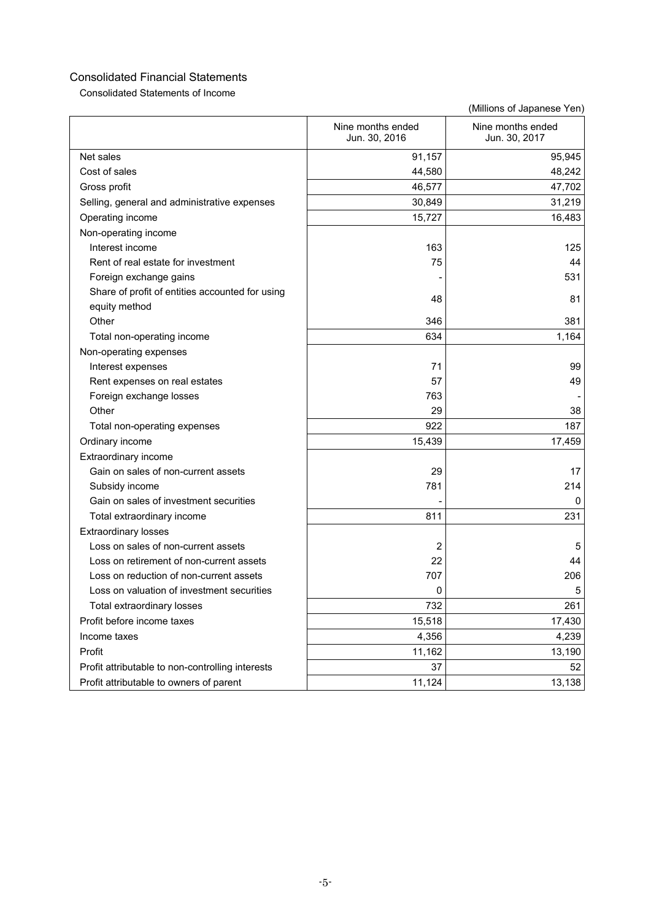Consolidated Statements of Income

|                                                  | Nine months ended<br>Jun. 30, 2016 | Nine months ended<br>Jun. 30, 2017 |
|--------------------------------------------------|------------------------------------|------------------------------------|
| Net sales                                        | 91,157                             | 95,945                             |
| Cost of sales                                    | 44,580                             | 48,242                             |
| Gross profit                                     | 46,577                             | 47,702                             |
| Selling, general and administrative expenses     | 30,849                             | 31,219                             |
| Operating income                                 | 15,727                             | 16,483                             |
| Non-operating income                             |                                    |                                    |
| Interest income                                  | 163                                | 125                                |
| Rent of real estate for investment               | 75                                 | 44                                 |
| Foreign exchange gains                           |                                    | 531                                |
| Share of profit of entities accounted for using  | 48                                 | 81                                 |
| equity method                                    |                                    |                                    |
| Other                                            | 346                                | 381                                |
| Total non-operating income                       | 634                                | 1,164                              |
| Non-operating expenses                           |                                    |                                    |
| Interest expenses                                | 71                                 | 99                                 |
| Rent expenses on real estates                    | 57                                 | 49                                 |
| Foreign exchange losses                          | 763                                |                                    |
| Other                                            | 29                                 | 38                                 |
| Total non-operating expenses                     | 922                                | 187                                |
| Ordinary income                                  | 15,439                             | 17,459                             |
| Extraordinary income                             |                                    |                                    |
| Gain on sales of non-current assets              | 29                                 | 17                                 |
| Subsidy income                                   | 781                                | 214                                |
| Gain on sales of investment securities           |                                    | 0                                  |
| Total extraordinary income                       | 811                                | 231                                |
| <b>Extraordinary losses</b>                      |                                    |                                    |
| Loss on sales of non-current assets              | 2                                  | 5                                  |
| Loss on retirement of non-current assets         | 22                                 | 44                                 |
| Loss on reduction of non-current assets          | 707                                | 206                                |
| Loss on valuation of investment securities       | 0                                  | 5                                  |
| Total extraordinary losses                       | 732                                | 261                                |
| Profit before income taxes                       | 15,518                             | 17,430                             |
| Income taxes                                     | 4,356                              | 4,239                              |
| Profit                                           | 11,162                             | 13,190                             |
| Profit attributable to non-controlling interests | 37                                 | 52                                 |
| Profit attributable to owners of parent          | 11,124                             | 13,138                             |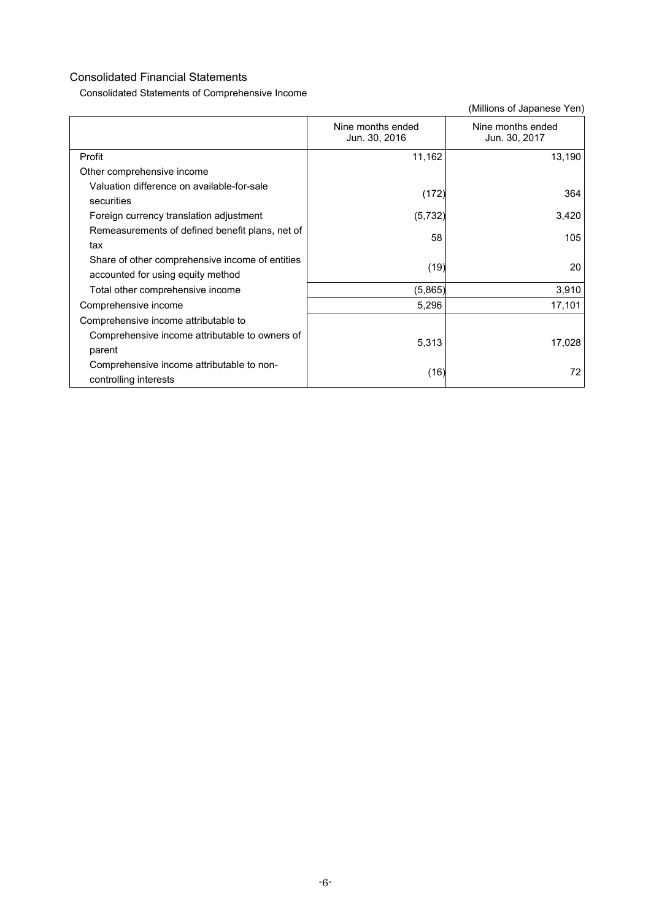Consolidated Statements of Comprehensive Income

|                                                                                      | Nine months ended<br>Jun. 30, 2016 | Nine months ended<br>Jun. 30, 2017 |
|--------------------------------------------------------------------------------------|------------------------------------|------------------------------------|
| Profit                                                                               | 11,162                             | 13,190                             |
| Other comprehensive income                                                           |                                    |                                    |
| Valuation difference on available-for-sale<br>securities                             | (172)                              | 364                                |
| Foreign currency translation adjustment                                              | (5,732)                            | 3,420                              |
| Remeasurements of defined benefit plans, net of<br>tax                               | 58                                 | 105                                |
| Share of other comprehensive income of entities<br>accounted for using equity method | (19)                               | 20                                 |
| Total other comprehensive income                                                     | (5,865)                            | 3,910                              |
| Comprehensive income                                                                 | 5,296                              | 17,101                             |
| Comprehensive income attributable to                                                 |                                    |                                    |
| Comprehensive income attributable to owners of<br>parent                             | 5,313                              | 17,028                             |
| Comprehensive income attributable to non-<br>controlling interests                   | (16)                               | 72                                 |